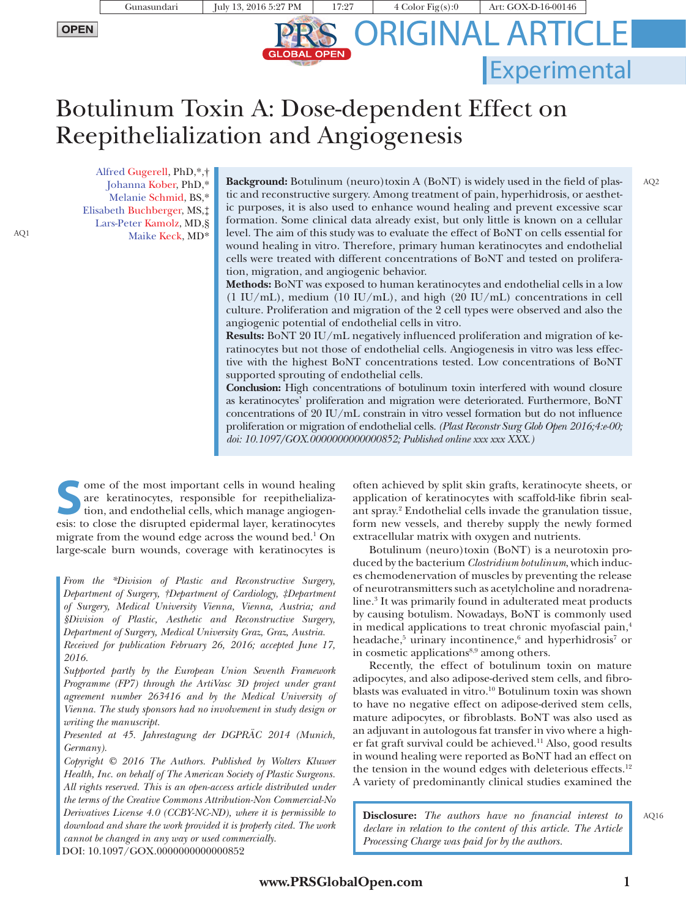Reepithelialization and Angiogenesis

Botulinum Toxin A: Dose-dependent Effect on

**GLOBAL OPEN** 

ORIGINAL ARTICLE

**Experimental** 

AQ2

Alfred Gugerell, PhD,\*,† Johanna Kober, PhD,\* Melanie Schmid, BS,\* Elisabeth Buchberger, MS,‡ Lars-Peter Kamolz, MD,§ AQ1 Maike Keck, MD\*

**Background:** Botulinum (neuro)toxin A (BoNT) is widely used in the field of plastic and reconstructive surgery. Among treatment of pain, hyperhidrosis, or aesthetic purposes, it is also used to enhance wound healing and prevent excessive scar formation. Some clinical data already exist, but only little is known on a cellular level. The aim of this study was to evaluate the effect of BoNT on cells essential for wound healing in vitro. Therefore, primary human keratinocytes and endothelial cells were treated with different concentrations of BoNT and tested on proliferation, migration, and angiogenic behavior.

**Methods:** BoNT was exposed to human keratinocytes and endothelial cells in a low (1 IU/mL), medium (10 IU/mL), and high (20 IU/mL) concentrations in cell culture. Proliferation and migration of the 2 cell types were observed and also the angiogenic potential of endothelial cells in vitro.

**Results:** BoNT 20 IU/mL negatively influenced proliferation and migration of keratinocytes but not those of endothelial cells. Angiogenesis in vitro was less effective with the highest BoNT concentrations tested. Low concentrations of BoNT supported sprouting of endothelial cells.

**Conclusion:** High concentrations of botulinum toxin interfered with wound closure as keratinocytes' proliferation and migration were deteriorated. Furthermore, BoNT concentrations of 20 IU/mL constrain in vitro vessel formation but do not influence proliferation or migration of endothelial cells. *(Plast Reconstr Surg Glob Open 2016;4:e-00; doi: 10.1097/GOX.0000000000000852; Published online xxx xxx XXX.)*

**Some of the most important cells in wound healing**<br>
are keratinocytes, responsible for reepithelializa-<br>
tion, and endothelial cells, which manage angiogen-<br>
exist to close the disrupted endermal layer keratinocytes are keratinocytes, responsible for reepithelializaesis: to close the disrupted epidermal layer, keratinocytes migrate from the wound edge across the wound bed.1 On large-scale burn wounds, coverage with keratinocytes is

*From the \*Division of Plastic and Reconstructive Surgery, Department of Surgery, †Department of Cardiology, ‡Department of Surgery, Medical University Vienna, Vienna, Austria; and §Division of Plastic, Aesthetic and Reconstructive Surgery, Department of Surgery, Medical University Graz, Graz, Austria.*

*Received for publication February 26, 2016; accepted June 17, 2016.*

*Supported partly by the European Union Seventh Framework Programme (FP7) through the ArtiVasc 3D project under grant agreement number 263416 and by the Medical University of Vienna. The study sponsors had no involvement in study design or writing the manuscript.*

*Presented at 45. Jahrestagung der DGPRÄC 2014 (Munich, Germany).*

*Copyright © 2016 The Authors. Published by Wolters Kluwer Health, Inc. on behalf of The American Society of Plastic Surgeons. All rights reserved. This is an open-access article distributed under the terms of the [Creative Commons Attribution-Non Commercial-No](http://creativecommons.org/licenses/by-nc-nd/4.0/) [Derivatives License 4.0 \(CCBY-NC-ND\),](http://creativecommons.org/licenses/by-nc-nd/4.0/) where it is permissible to download and share the work provided it is properly cited. The work cannot be changed in any way or used commercially.* DOI: 10.1097/GOX.0000000000000852

application of keratinocytes with scaffold-like fibrin sealant spray.2 Endothelial cells invade the granulation tissue, form new vessels, and thereby supply the newly formed extracellular matrix with oxygen and nutrients.

often achieved by split skin grafts, keratinocyte sheets, or

Botulinum (neuro)toxin (BoNT) is a neurotoxin produced by the bacterium *Clostridium botulinum*, which induces chemodenervation of muscles by preventing the release of neurotransmitters such as acetylcholine and noradrenaline.3 It was primarily found in adulterated meat products by causing botulism. Nowadays, BoNT is commonly used in medical applications to treat chronic myofascial pain,4 headache,<sup>5</sup> urinary incontinence,<sup>6</sup> and hyperhidrosis<sup>7</sup> or in cosmetic applications<sup>8,9</sup> among others.

Recently, the effect of botulinum toxin on mature adipocytes, and also adipose-derived stem cells, and fibroblasts was evaluated in vitro.10 Botulinum toxin was shown to have no negative effect on adipose-derived stem cells, mature adipocytes, or fibroblasts. BoNT was also used as an adjuvant in autologous fat transfer in vivo where a higher fat graft survival could be achieved.11 Also, good results in wound healing were reported as BoNT had an effect on the tension in the wound edges with deleterious effects.<sup>12</sup> A variety of predominantly clinical studies examined the

**Disclosure:** *The authors have no financial interest to declare in relation to the content of this article. The Article Processing Charge was paid for by the authors.*

AQ16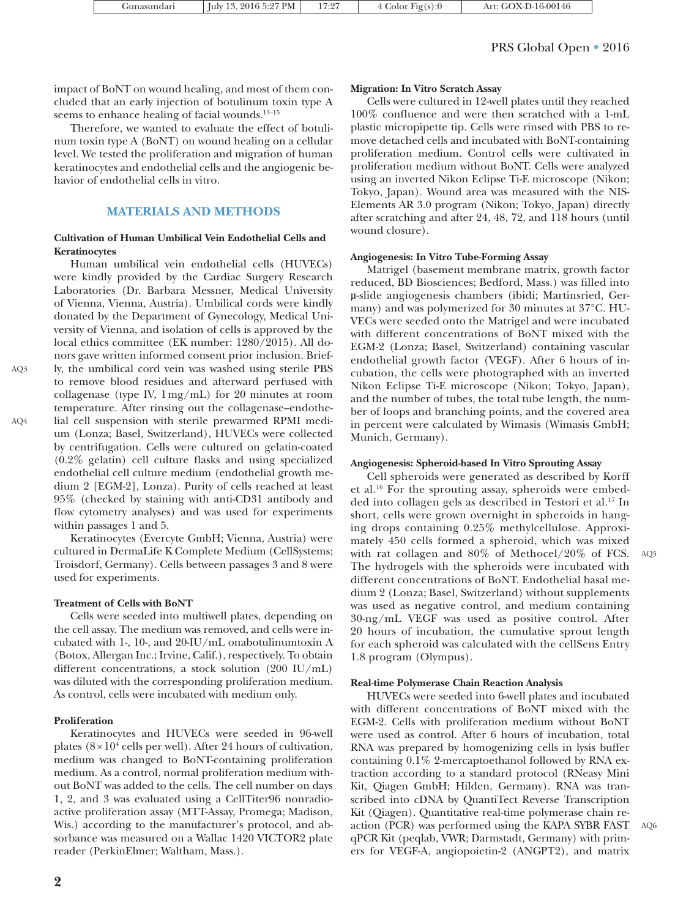| Gunasundarı | July 13, 2016 5:27 PM | 17:27 | 4 Color $Fig(s):0$ | Art: GOX-D-16-00146 |
|-------------|-----------------------|-------|--------------------|---------------------|
|             |                       |       |                    |                     |

## PRS Global Open • 2016

impact of BoNT on wound healing, and most of them concluded that an early injection of botulinum toxin type A seems to enhance healing of facial wounds.<sup>13–15</sup>

Therefore, we wanted to evaluate the effect of botulinum toxin type A (BoNT) on wound healing on a cellular level. We tested the proliferation and migration of human keratinocytes and endothelial cells and the angiogenic behavior of endothelial cells in vitro.

## **MATERIALS AND METHODS**

#### **Cultivation of Human Umbilical Vein Endothelial Cells and Keratinocytes**

Human umbilical vein endothelial cells (HUVECs) were kindly provided by the Cardiac Surgery Research Laboratories (Dr. Barbara Messner, Medical University of Vienna, Vienna, Austria). Umbilical cords were kindly donated by the Department of Gynecology, Medical University of Vienna, and isolation of cells is approved by the local ethics committee (EK number: 1280/2015). All donors gave written informed consent prior inclusion. Briefly, the umbilical cord vein was washed using sterile PBS to remove blood residues and afterward perfused with collagenase (type IV, 1mg/mL) for 20 minutes at room temperature. After rinsing out the collagenase–endothelial cell suspension with sterile prewarmed RPMI medium (Lonza; Basel, Switzerland), HUVECs were collected by centrifugation. Cells were cultured on gelatin-coated (0.2% gelatin) cell culture flasks and using specialized endothelial cell culture medium (endothelial growth medium 2 [EGM-2], Lonza). Purity of cells reached at least 95% (checked by staining with anti-CD31 antibody and flow cytometry analyses) and was used for experiments within passages 1 and 5.

Keratinocytes (Evercyte GmbH; Vienna, Austria) were cultured in DermaLife K Complete Medium (CellSystems; Troisdorf, Germany). Cells between passages 3 and 8 were used for experiments.

#### **Treatment of Cells with BoNT**

Cells were seeded into multiwell plates, depending on the cell assay. The medium was removed, and cells were incubated with 1-, 10-, and 20-IU/mL onabotulinumtoxin A (Botox, Allergan Inc.; Irvine, Calif.), respectively. To obtain different concentrations, a stock solution (200 IU/mL) was diluted with the corresponding proliferation medium. As control, cells were incubated with medium only.

#### **Proliferation**

AQ3

AQ4

Keratinocytes and HUVECs were seeded in 96-well plates  $(8 \times 10^4 \text{ cells per well})$ . After 24 hours of cultivation, medium was changed to BoNT-containing proliferation medium. As a control, normal proliferation medium without BoNT was added to the cells. The cell number on days 1, 2, and 3 was evaluated using a CellTiter96 nonradioactive proliferation assay (MTT-Assay, Promega; Madison, Wis.) according to the manufacturer's protocol, and absorbance was measured on a Wallac 1420 VICTOR2 plate reader (PerkinElmer; Waltham, Mass.).

### **Migration: In Vitro Scratch Assay**

Cells were cultured in 12-well plates until they reached 100% confluence and were then scratched with a 1-mL plastic micropipette tip. Cells were rinsed with PBS to remove detached cells and incubated with BoNT-containing proliferation medium. Control cells were cultivated in proliferation medium without BoNT. Cells were analyzed using an inverted Nikon Eclipse Ti-E microscope (Nikon; Tokyo, Japan). Wound area was measured with the NIS-Elements AR 3.0 program (Nikon; Tokyo, Japan) directly after scratching and after 24, 48, 72, and 118 hours (until wound closure).

#### **Angiogenesis: In Vitro Tube-Forming Assay**

Matrigel (basement membrane matrix, growth factor reduced, BD Biosciences; Bedford, Mass.) was filled into µ-slide angiogenesis chambers (ibidi; Martinsried, Germany) and was polymerized for 30 minutes at 37°C. HU-VECs were seeded onto the Matrigel and were incubated with different concentrations of BoNT mixed with the EGM-2 (Lonza; Basel, Switzerland) containing vascular endothelial growth factor (VEGF). After 6 hours of incubation, the cells were photographed with an inverted Nikon Eclipse Ti-E microscope (Nikon; Tokyo, Japan), and the number of tubes, the total tube length, the number of loops and branching points, and the covered area in percent were calculated by Wimasis (Wimasis GmbH; Munich, Germany).

#### **Angiogenesis: Spheroid-based In Vitro Sprouting Assay**

Cell spheroids were generated as described by Korff et al.16 For the sprouting assay, spheroids were embedded into collagen gels as described in Testori et al.17 In short, cells were grown overnight in spheroids in hanging drops containing 0.25% methylcellulose. Approximately 450 cells formed a spheroid, which was mixed with rat collagen and 80% of Methocel/20% of FCS. AQ5 The hydrogels with the spheroids were incubated with different concentrations of BoNT. Endothelial basal medium 2 (Lonza; Basel, Switzerland) without supplements was used as negative control, and medium containing 30-ng/mL VEGF was used as positive control. After 20 hours of incubation, the cumulative sprout length for each spheroid was calculated with the cellSens Entry 1.8 program (Olympus).

#### **Real-time Polymerase Chain Reaction Analysis**

HUVECs were seeded into 6-well plates and incubated with different concentrations of BoNT mixed with the EGM-2. Cells with proliferation medium without BoNT were used as control. After 6 hours of incubation, total RNA was prepared by homogenizing cells in lysis buffer containing 0.1% 2-mercaptoethanol followed by RNA extraction according to a standard protocol (RNeasy Mini Kit, Qiagen GmbH; Hilden, Germany). RNA was transcribed into cDNA by QuantiTect Reverse Transcription Kit (Qiagen). Quantitative real-time polymerase chain reaction (PCR) was performed using the KAPA SYBR FAST qPCR Kit (peqlab, VWR; Darmstadt, Germany) with primers for VEGF-A, angiopoietin-2 (ANGPT2), and matrix AQ6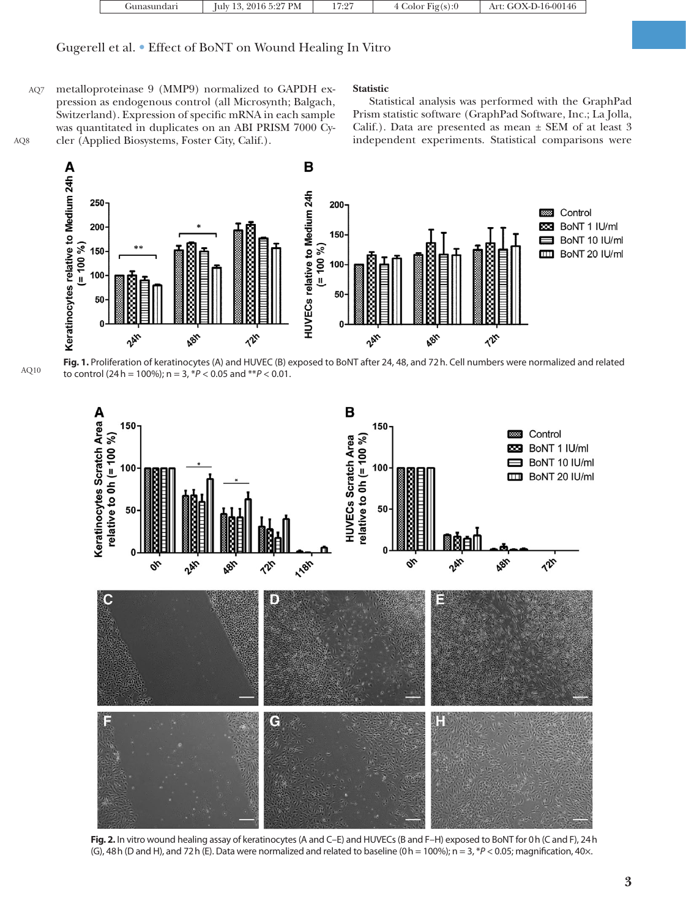|  | ' annash | 2016 5:27 PM<br>$\mathbf{z}$<br>lulv<br>. | $7.9 -$<br>$\cdot$ $\sim$ | Fig(s):0 | OX-D-16-00146<br>ΑI |
|--|----------|-------------------------------------------|---------------------------|----------|---------------------|
|--|----------|-------------------------------------------|---------------------------|----------|---------------------|

## Gugerell et al. • Effect of BoNT on Wound Healing In Vitro

metalloproteinase 9 (MMP9) normalized to GAPDH expression as endogenous control (all Microsynth; Balgach, Switzerland). Expression of specific mRNA in each sample was quantitated in duplicates on an ABI PRISM 7000 Cycler (Applied Biosystems, Foster City, Calif.). AQ7 AQ8

#### **Statistic**

Statistical analysis was performed with the GraphPad Prism statistic software (GraphPad Software, Inc.; La Jolla, Calif.). Data are presented as mean ± SEM of at least 3 independent experiments. Statistical comparisons were



**Fig. 1.** Proliferation of keratinocytes (A) and HUVEC (B) exposed to BoNT after 24, 48, and 72h. Cell numbers were normalized and related to control (24h = 100%); n = 3, \**P* < 0.05 and \*\**P* < 0.01. AQ10



**Fig. 2.** In vitro wound healing assay of keratinocytes (A and C–E) and HUVECs (B and F–H) exposed to BoNT for 0h (C and F), 24h (G), 48h (D and H), and 72h (E). Data were normalized and related to baseline (0h = 100%); n = 3, \**P* < 0.05; magnifcation, 40×.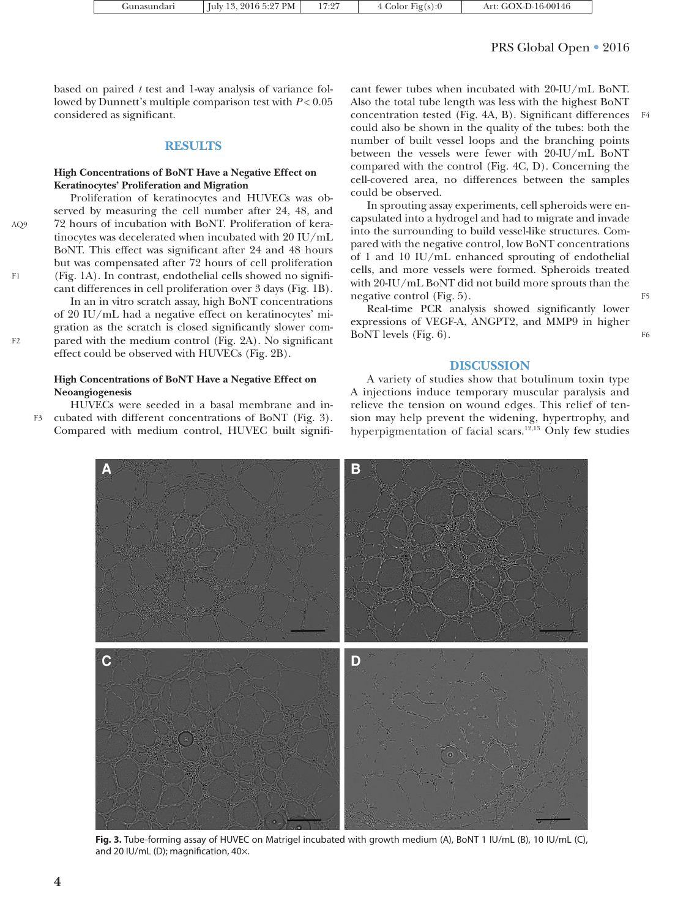| $\pm$ Iuly 13, 2016 5:27 PM $\pm$<br>17:27<br>4 Color Fig(s): $0$<br>Gunasundarı | Art: GOX-D-16-00146 |
|----------------------------------------------------------------------------------|---------------------|
|----------------------------------------------------------------------------------|---------------------|

## PRS Global Open • 2016

F4

F5

F6

based on paired *t* test and 1-way analysis of variance followed by Dunnett's multiple comparison test with *P* < 0.05 considered as significant.

## **RESULTS**

## **High Concentrations of BoNT Have a Negative Effect on Keratinocytes' Proliferation and Migration**

Proliferation of keratinocytes and HUVECs was observed by measuring the cell number after 24, 48, and 72 hours of incubation with BoNT. Proliferation of keratinocytes was decelerated when incubated with 20 IU/mL BoNT. This effect was significant after 24 and 48 hours but was compensated after 72 hours of cell proliferation (Fig. 1A). In contrast, endothelial cells showed no significant differences in cell proliferation over 3 days (Fig. 1B).

In an in vitro scratch assay, high BoNT concentrations of 20 IU/mL had a negative effect on keratinocytes' migration as the scratch is closed significantly slower compared with the medium control (Fig. 2A). No significant effect could be observed with HUVECs (Fig. 2B).

## **High Concentrations of BoNT Have a Negative Effect on Neoangiogenesis**

HUVECs were seeded in a basal membrane and incubated with different concentrations of BoNT (Fig. 3). Compared with medium control, HUVEC built signifi-F3

cant fewer tubes when incubated with 20-IU/mL BoNT. Also the total tube length was less with the highest BoNT concentration tested (Fig. 4A, B). Significant differences could also be shown in the quality of the tubes: both the number of built vessel loops and the branching points between the vessels were fewer with 20-IU/mL BoNT compared with the control (Fig. 4C, D). Concerning the cell-covered area, no differences between the samples could be observed.

In sprouting assay experiments, cell spheroids were encapsulated into a hydrogel and had to migrate and invade into the surrounding to build vessel-like structures. Compared with the negative control, low BoNT concentrations of 1 and 10 IU/mL enhanced sprouting of endothelial cells, and more vessels were formed. Spheroids treated with 20-IU/mL BoNT did not build more sprouts than the negative control (Fig. 5).

Real-time PCR analysis showed significantly lower expressions of VEGF-A, ANGPT2, and MMP9 in higher BoNT levels (Fig. 6).

## **DISCUSSION**

A variety of studies show that botulinum toxin type A injections induce temporary muscular paralysis and relieve the tension on wound edges. This relief of tension may help prevent the widening, hypertrophy, and hyperpigmentation of facial scars.12,13 Only few studies



**Fig. 3.** Tube-forming assay of HUVEC on Matrigel incubated with growth medium (A), BoNT 1 IU/mL (B), 10 IU/mL (C), and 20 IU/mL (D); magnifcation, 40×.

AQ9

F1

F2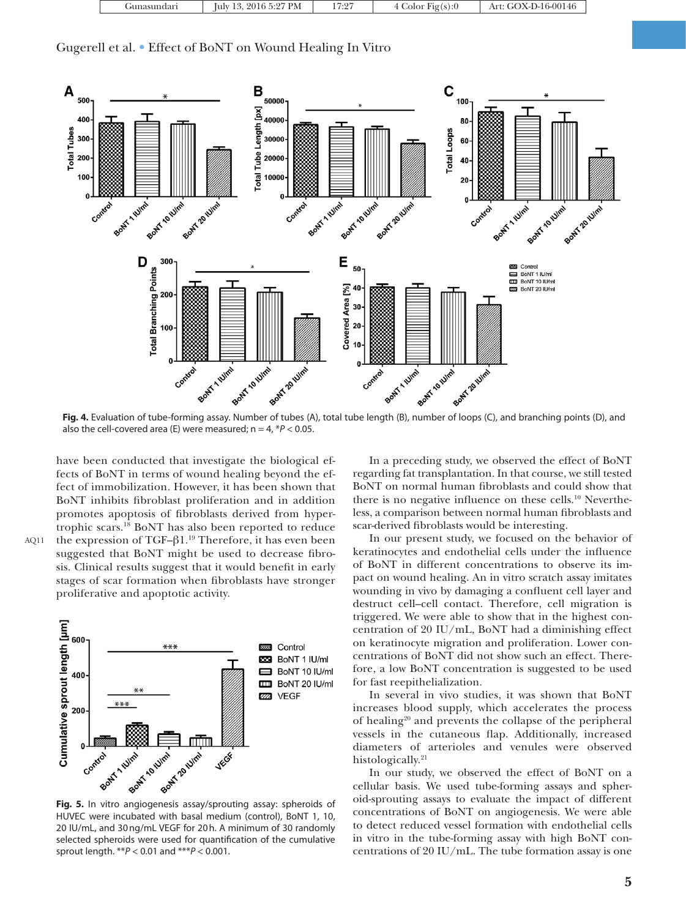| PM<br>-16-00146<br>lulv<br>Fig(s):0<br>Art<br>. Junasuno<br>$\cdots$ |
|----------------------------------------------------------------------|
|----------------------------------------------------------------------|

Gugerell et al. • Effect of BoNT on Wound Healing In Vitro



also the cell-covered area (E) were measured;  $n = 4$ ,  $*P < 0.05$ .

have been conducted that investigate the biological effects of BoNT in terms of wound healing beyond the effect of immobilization. However, it has been shown that BoNT inhibits fibroblast proliferation and in addition promotes apoptosis of fibroblasts derived from hypertrophic scars.18 BoNT has also been reported to reduce the expression of TGF-β1.<sup>19</sup> Therefore, it has even been suggested that BoNT might be used to decrease fibrosis. Clinical results suggest that it would benefit in early stages of scar formation when fibroblasts have stronger proliferative and apoptotic activity.



HUVEC were incubated with basal medium (control), BoNT 1, 10, 20 IU/mL, and 30ng/mL VEGF for 20h. A minimum of 30 randomly selected spheroids were used for quantifcation of the cumulative sprout length. \*\**P* < 0.01 and \*\*\**P* < 0.001.

In a preceding study, we observed the effect of BoNT regarding fat transplantation. In that course, we still tested BoNT on normal human fibroblasts and could show that there is no negative influence on these cells.<sup>10</sup> Nevertheless, a comparison between normal human fibroblasts and scar-derived fibroblasts would be interesting.

In our present study, we focused on the behavior of keratinocytes and endothelial cells under the influence of BoNT in different concentrations to observe its impact on wound healing. An in vitro scratch assay imitates wounding in vivo by damaging a confluent cell layer and destruct cell–cell contact. Therefore, cell migration is triggered. We were able to show that in the highest concentration of 20 IU/mL, BoNT had a diminishing effect on keratinocyte migration and proliferation. Lower concentrations of BoNT did not show such an effect. Therefore, a low BoNT concentration is suggested to be used for fast reepithelialization.

In several in vivo studies, it was shown that BoNT increases blood supply, which accelerates the process of healing20 and prevents the collapse of the peripheral vessels in the cutaneous flap. Additionally, increased diameters of arterioles and venules were observed histologically.<sup>21</sup>

In our study, we observed the effect of BoNT on a cellular basis. We used tube-forming assays and spheroid-sprouting assays to evaluate the impact of different concentrations of BoNT on angiogenesis. We were able to detect reduced vessel formation with endothelial cells in vitro in the tube-forming assay with high BoNT concentrations of 20 IU/mL. The tube formation assay is one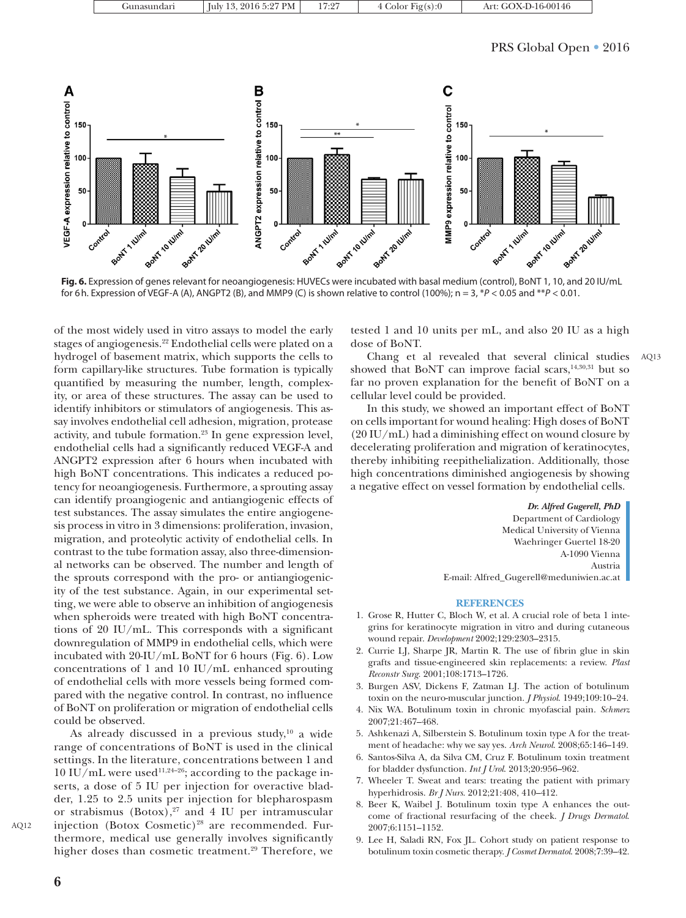| Gunasundari | $^{\prime}$ July 13, 2016 5:27 PM $\parallel$ | 17:27 | 4 Color Fig(s): $0$ | Art: GOX-D-16-00146 |
|-------------|-----------------------------------------------|-------|---------------------|---------------------|

## PRS Global Open • 2016



**Fig. 6.** Expression of genes relevant for neoangiogenesis: HUVECs were incubated with basal medium (control), BoNT 1, 10, and 20 IU/mL for 6h. Expression of VEGF-A (A), ANGPT2 (B), and MMP9 (C) is shown relative to control (100%); n = 3, \**P* < 0.05 and \*\**P* < 0.01.

of the most widely used in vitro assays to model the early stages of angiogenesis.22 Endothelial cells were plated on a hydrogel of basement matrix, which supports the cells to form capillary-like structures. Tube formation is typically quantified by measuring the number, length, complexity, or area of these structures. The assay can be used to identify inhibitors or stimulators of angiogenesis. This assay involves endothelial cell adhesion, migration, protease activity, and tubule formation.<sup>23</sup> In gene expression level, endothelial cells had a significantly reduced VEGF-A and ANGPT2 expression after 6 hours when incubated with high BoNT concentrations. This indicates a reduced potency for neoangiogenesis. Furthermore, a sprouting assay can identify proangiogenic and antiangiogenic effects of test substances. The assay simulates the entire angiogenesis process in vitro in 3 dimensions: proliferation, invasion, migration, and proteolytic activity of endothelial cells. In contrast to the tube formation assay, also three-dimensional networks can be observed. The number and length of the sprouts correspond with the pro- or antiangiogenicity of the test substance. Again, in our experimental setting, we were able to observe an inhibition of angiogenesis when spheroids were treated with high BoNT concentrations of 20 IU/mL. This corresponds with a significant downregulation of MMP9 in endothelial cells, which were incubated with 20-IU/mL BoNT for 6 hours (Fig. 6). Low concentrations of 1 and 10 IU/mL enhanced sprouting of endothelial cells with more vessels being formed compared with the negative control. In contrast, no influence of BoNT on proliferation or migration of endothelial cells could be observed.

As already discussed in a previous study,<sup>10</sup> a wide range of concentrations of BoNT is used in the clinical settings. In the literature, concentrations between 1 and  $10 \text{ IU/mL}$  were used<sup>11,24-26</sup>; according to the package inserts, a dose of 5 IU per injection for overactive bladder, 1.25 to 2.5 units per injection for blepharospasm or strabismus  $(Botox)$ ,<sup>27</sup> and 4 IU per intramuscular injection (Botox Cosmetic)<sup>28</sup> are recommended. Furthermore, medical use generally involves significantly higher doses than cosmetic treatment.<sup>29</sup> Therefore, we tested 1 and 10 units per mL, and also 20 IU as a high dose of BoNT.

Chang et al revealed that several clinical studies showed that BoNT can improve facial scars,<sup>14,30,31</sup> but so far no proven explanation for the benefit of BoNT on a cellular level could be provided.

In this study, we showed an important effect of BoNT on cells important for wound healing: High doses of BoNT (20 IU/mL) had a diminishing effect on wound closure by decelerating proliferation and migration of keratinocytes, thereby inhibiting reepithelialization. Additionally, those high concentrations diminished angiogenesis by showing a negative effect on vessel formation by endothelial cells.

> *Dr. Alfred Gugerell, PhD* Department of Cardiology Medical University of Vienna Waehringer Guertel 18-20 A-1090 Vienna Austria

AQ13

E-mail: [Alfred\\_Gugerell@meduniwien.ac.at](mailto:Alfred_Gugerell@meduniwien.ac.at)

#### **REFERENCES**

- 1. Grose R, Hutter C, Bloch W, et al. A crucial role of beta 1 integrins for keratinocyte migration in vitro and during cutaneous wound repair. *Development* 2002;129:2303–2315.
- 2. Currie LJ, Sharpe JR, Martin R. The use of fibrin glue in skin grafts and tissue-engineered skin replacements: a review. *Plast Reconstr Surg*. 2001;108:1713–1726.
- 3. Burgen ASV, Dickens F, Zatman LJ. The action of botulinum toxin on the neuro-muscular junction. *J Physiol*. 1949;109:10–24.
- 4. Nix WA. Botulinum toxin in chronic myofascial pain. *Schmerz* 2007;21:467–468.
- 5. Ashkenazi A, Silberstein S. Botulinum toxin type A for the treatment of headache: why we say yes. *Arch Neurol*. 2008;65:146–149.
- 6. Santos-Silva A, da Silva CM, Cruz F. Botulinum toxin treatment for bladder dysfunction. *Int J Urol*. 2013;20:956–962.
- 7. Wheeler T. Sweat and tears: treating the patient with primary hyperhidrosis. *Br J Nurs*. 2012;21:408, 410–412.
- 8. Beer K, Waibel J. Botulinum toxin type A enhances the outcome of fractional resurfacing of the cheek. *J Drugs Dermatol*. 2007;6:1151–1152.
- 9. Lee H, Saladi RN, Fox JL. Cohort study on patient response to botulinum toxin cosmetic therapy. *J Cosmet Dermatol*. 2008;7:39–42.

AQ12

**6**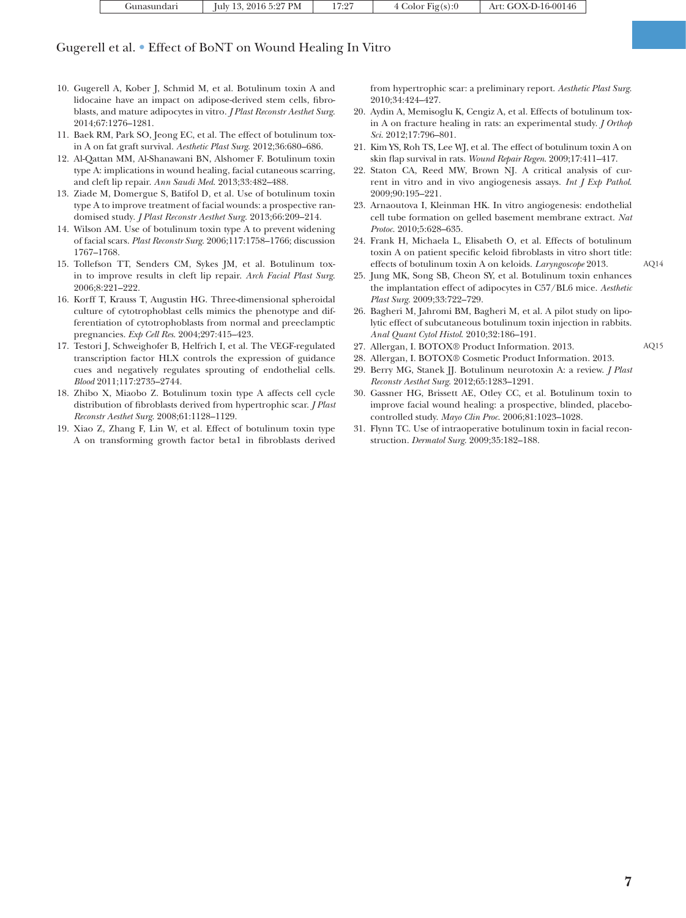| Gunasundari | July 13, 2016 5:27 PM | .7:27 | 4 Color $Fig(s):0$ | Art: GOX-D-16-00146 |
|-------------|-----------------------|-------|--------------------|---------------------|
|             |                       |       |                    |                     |

## Gugerell et al. • Effect of BoNT on Wound Healing In Vitro

- 10. Gugerell A, Kober J, Schmid M, et al. Botulinum toxin A and lidocaine have an impact on adipose-derived stem cells, fibroblasts, and mature adipocytes in vitro. *J Plast Reconstr Aesthet Surg*. 2014;67:1276–1281.
- 11. Baek RM, Park SO, Jeong EC, et al. The effect of botulinum toxin A on fat graft survival. *Aesthetic Plast Surg*. 2012;36:680–686.
- 12. Al-Qattan MM, Al-Shanawani BN, Alshomer F. Botulinum toxin type A: implications in wound healing, facial cutaneous scarring, and cleft lip repair. *Ann Saudi Med*. 2013;33:482–488.
- 13. Ziade M, Domergue S, Batifol D, et al. Use of botulinum toxin type A to improve treatment of facial wounds: a prospective randomised study. *J Plast Reconstr Aesthet Surg*. 2013;66:209–214.
- 14. Wilson AM. Use of botulinum toxin type A to prevent widening of facial scars. *Plast Reconstr Surg*. 2006;117:1758–1766; discussion 1767–1768.
- 15. Tollefson TT, Senders CM, Sykes JM, et al. Botulinum toxin to improve results in cleft lip repair. *Arch Facial Plast Surg*. 2006;8:221–222.
- 16. Korff T, Krauss T, Augustin HG. Three-dimensional spheroidal culture of cytotrophoblast cells mimics the phenotype and differentiation of cytotrophoblasts from normal and preeclamptic pregnancies. *Exp Cell Res*. 2004;297:415–423.
- 17. Testori J, Schweighofer B, Helfrich I, et al. The VEGF-regulated transcription factor HLX controls the expression of guidance cues and negatively regulates sprouting of endothelial cells. *Blood* 2011;117:2735–2744.
- 18. Zhibo X, Miaobo Z. Botulinum toxin type A affects cell cycle distribution of fibroblasts derived from hypertrophic scar. *J Plast Reconstr Aesthet Surg*. 2008;61:1128–1129.
- 19. Xiao Z, Zhang F, Lin W, et al. Effect of botulinum toxin type A on transforming growth factor beta1 in fibroblasts derived

from hypertrophic scar: a preliminary report. *Aesthetic Plast Surg*. 2010;34:424–427.

- 20. Aydin A, Memisoglu K, Cengiz A, et al. Effects of botulinum toxin A on fracture healing in rats: an experimental study. *J Orthop Sci*. 2012;17:796–801.
- 21. Kim YS, Roh TS, Lee WJ, et al. The effect of botulinum toxin A on skin flap survival in rats. *Wound Repair Regen*. 2009;17:411–417.
- 22. Staton CA, Reed MW, Brown NJ. A critical analysis of current in vitro and in vivo angiogenesis assays. *Int J Exp Pathol*. 2009;90:195–221.
- 23. Arnaoutova I, Kleinman HK. In vitro angiogenesis: endothelial cell tube formation on gelled basement membrane extract. *Nat Protoc*. 2010;5:628–635.
- 24. Frank H, Michaela L, Elisabeth O, et al. Effects of botulinum toxin A on patient specific keloid fibroblasts in vitro short title: effects of botulinum toxin A on keloids. *Laryngoscope* 2013.
- 25. Jung MK, Song SB, Cheon SY, et al. Botulinum toxin enhances the implantation effect of adipocytes in C57/BL6 mice. *Aesthetic Plast Surg*. 2009;33:722–729.
- 26. Bagheri M, Jahromi BM, Bagheri M, et al. A pilot study on lipolytic effect of subcutaneous botulinum toxin injection in rabbits. *Anal Quant Cytol Histol*. 2010;32:186–191.
- 27. Allergan, I. BOTOX® Product Information. 2013.
- 28. Allergan, I. BOTOX® Cosmetic Product Information. 2013.
- 29. Berry MG, Stanek JJ. Botulinum neurotoxin A: a review. *J Plast Reconstr Aesthet Surg*. 2012;65:1283–1291.
- 30. Gassner HG, Brissett AE, Otley CC, et al. Botulinum toxin to improve facial wound healing: a prospective, blinded, placebocontrolled study. *Mayo Clin Proc*. 2006;81:1023–1028.
- 31. Flynn TC. Use of intraoperative botulinum toxin in facial reconstruction. *Dermatol Surg*. 2009;35:182–188.

AQ14

AQ15